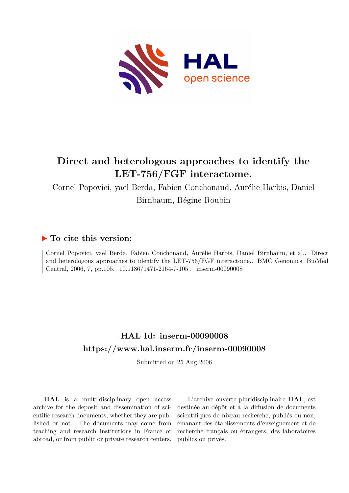

## **Direct and heterologous approaches to identify the LET-756/FGF interactome.**

Cornel Popovici, yael Berda, Fabien Conchonaud, Aurélie Harbis, Daniel Birnbaum, Régine Roubin

### **To cite this version:**

Cornel Popovici, yael Berda, Fabien Conchonaud, Aurélie Harbis, Daniel Birnbaum, et al.. Direct and heterologous approaches to identify the LET-756/FGF interactome.. BMC Genomics, BioMed Central, 2006, 7, pp.105. 10.1186/1471-2164-7-105. inserm-00090008

## **HAL Id: inserm-00090008 <https://www.hal.inserm.fr/inserm-00090008>**

Submitted on 25 Aug 2006

**HAL** is a multi-disciplinary open access archive for the deposit and dissemination of scientific research documents, whether they are published or not. The documents may come from teaching and research institutions in France or abroad, or from public or private research centers.

L'archive ouverte pluridisciplinaire **HAL**, est destinée au dépôt et à la diffusion de documents scientifiques de niveau recherche, publiés ou non, émanant des établissements d'enseignement et de recherche français ou étrangers, des laboratoires publics ou privés.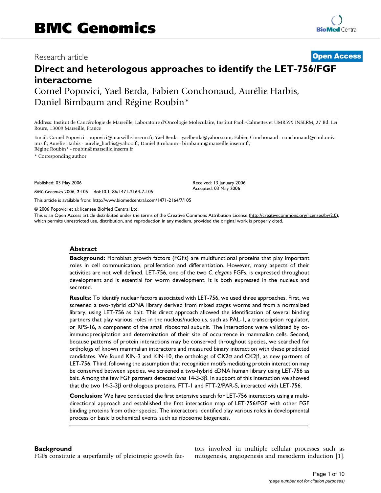### Research article **Contract Contract Contract Contract Contract Contract Contract Contract Contract Contract Contract Contract Contract Contract Contract Contract Contract Contract Contract Contract Contract Contract Contra**

# **Direct and heterologous approaches to identify the LET-756/FGF interactome**

Cornel Popovici, Yael Berda, Fabien Conchonaud, Aurélie Harbis, Daniel Birnbaum and Régine Roubin\*

Address: Institut de Cancérologie de Marseille, Laboratoire d'Oncologie Moléculaire, Institut Paoli-Calmettes et UMR599 INSERM, 27 Bd. Leï Roure, 13009 Marseille, France

Email: Cornel Popovici - popovici@marseille.inserm.fr; Yael Berda - yaelberda@yahoo.com; Fabien Conchonaud - conchonaud@ciml.univmrs.fr; Aurélie Harbis - aurelie\_harbis@yahoo.fr; Daniel Birnbaum - birnbaum@marseille.inserm.fr; Régine Roubin\* - roubin@marseille.inserm.fr

\* Corresponding author

Published: 03 May 2006

*BMC Genomics* 2006, **7**:105 doi:10.1186/1471-2164-7-105

[This article is available from: http://www.biomedcentral.com/1471-2164/7/105](http://www.biomedcentral.com/1471-2164/7/105)

© 2006 Popovici et al; licensee BioMed Central Ltd.

This is an Open Access article distributed under the terms of the Creative Commons Attribution License [\(http://creativecommons.org/licenses/by/2.0\)](http://creativecommons.org/licenses/by/2.0), which permits unrestricted use, distribution, and reproduction in any medium, provided the original work is properly cited.

Received: 13 January 2006 Accepted: 03 May 2006

#### **Abstract**

**Background:** Fibroblast growth factors (FGFs) are multifunctional proteins that play important roles in cell communication, proliferation and differentiation. However, many aspects of their activities are not well defined. LET-756, one of the two *C. elegans* FGFs, is expressed throughout development and is essential for worm development. It is both expressed in the nucleus and secreted.

**Results:** To identify nuclear factors associated with LET-756, we used three approaches. First, we screened a two-hybrid cDNA library derived from mixed stages worms and from a normalized library, using LET-756 as bait. This direct approach allowed the identification of several binding partners that play various roles in the nucleus/nucleolus, such as PAL-1, a transcription regulator, or RPS-16, a component of the small ribosomal subunit. The interactions were validated by coimmunoprecipitation and determination of their site of occurrence in mammalian cells. Second, because patterns of protein interactions may be conserved throughout species, we searched for orthologs of known mammalian interactors and measured binary interaction with these predicted candidates. We found KIN-3 and KIN-10, the orthologs of CK2α and CK2β, as new partners of LET-756. Third, following the assumption that recognition motifs mediating protein interaction may be conserved between species, we screened a two-hybrid cDNA human library using LET-756 as bait. Among the few FGF partners detected was 14-3-3β. In support of this interaction we showed that the two 14-3-3β orthologous proteins, FTT-1 and FTT-2/PAR-5, interacted with LET-756.

**Conclusion:** We have conducted the first extensive search for LET-756 interactors using a multidirectional approach and established the first interaction map of LET-756/FGF with other FGF binding proteins from other species. The interactors identified play various roles in developmental process or basic biochemical events such as ribosome biogenesis.

#### **Background**

FGFs constitute a superfamily of pleiotropic growth fac-

tors involved in multiple cellular processes such as mitogenesis, angiogenesis and mesoderm induction [1].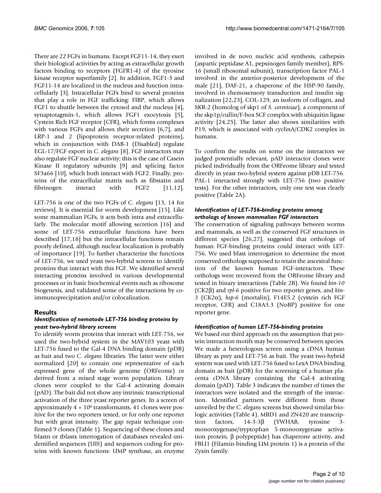There are 22 FGFs in humans. Except FGF11-14, they exert their biological activities by acting as extracellular growth factors binding to receptors (FGFR1-4) of the tyrosine kinase receptor superfamily [2]. In addition, FGF1-3 and FGF11-14 are localized in the nucleus and function intracellularly [3]. Intracellular FGFs bind to several proteins that play a role in FGF trafficking: FIBP, which allows FGF1 to shuttle between the cytosol and the nucleus [4], synaptotagmin-1, which allows FGF1 exocytosis [5], Cystein Rich FGF receptor (CFR), which forms complexes with various FGFs and allows their secretion [6,7], and LRP-1 and 2 (lipoprotein receptor-related proteins), which in conjunction with DAB-1 (Disabled) regulate EGL-17/FGF export in *C. elegans* [8]. FGF interactors may also regulate FGF nuclear activity; this is the case of Casein Kinase II regulatory subunits [9] and splicing factor SF3a66 [10], which both interact with FGF2. Finally, proteins of the extracellular matrix such as fibstatin and fibrinogen interact with FGF2 [11,12].

LET-756 is one of the two FGFs of *C. elegans* [13, 14 for reviews]. It is essential for worm development [15]. Like some mammalian FGFs, it acts both intra and extracellularly. The molecular motif allowing secretion [16] and some of LET-756 extracellular functions have been described [17,18] but the intracellular functions remain poorly defined, although nuclear localization is probably of importance [19]. To further characterize the functions of LET-756, we used yeast two-hybrid screens to identify proteins that interact with this FGF. We identified several interacting proteins involved in various developmental processes or in basic biochemical events such as ribosome biogenesis, and validated some of the interactions by coimmunoprecipitation and/or colocalization.

#### **Results**

#### *Identification of nematode LET-756 binding proteins by yeast two-hybrid library screens*

To identify worm proteins that interact with LET-756, we used the two-hybrid system in the MAV103 yeast with LET-756 fused to the Gal-4 DNA binding domain (pDB) as bait and two *C. elegans* libraries. The latter were either normalized [20] to contain one representative of each expressed gene of the whole genome (ORFeome) or derived from a mixed stage worm population. Library clones were coupled to the Gal-4 activating domain (pAD). The bait did not show any intrinsic transcriptional activation of the three yeast reporter genes. In a screen of approximately  $4 \times 10^6$  transformants, 41 clones were positive for the two reporters tested, or for only one reporter but with great intensity. The gap repair technique confirmed 9 clones (Table 1). Sequencing of these clones and blastn or tblastx interrogation of databases revealed unidentified sequences (UIS) and sequences coding for proteins with known functions: UMP synthase, an enzyme involved in de novo nucleic acid synthesis, cathepsin (aspartic peptidase A1, pepsinogen family member), RPS-16 (small ribosomal subunit), transcription factor PAL-1 involved in the anterior-posterior development of the male [21], DAF-21, a chaperone of the HSP-90 family, involved in chemosensory transduction and insulin signalization [22,23], COL-129, an isoform of collagen, and SKR-2 (homolog of skp1 of *S. cerevisiae*), a component of the skp1p/cullin/F-box SCF complex with ubiquitin ligase activity [24,25]. The latter also shows similarities with P19, which is associated with cyclinA/CDK2 complex in humans.

To confirm the results on some on the interactors we judged potentially relevant, pAD interactor clones were picked individually from the ORFeome library and tested directly in yeast two-hybrid system against pDB LET-756. PAL-1 interacted strongly with LET-756 (two positive tests). For the other interactors, only one test was clearly positive (Table 2A).

#### *Identification of LET-756-binding proteins among orthologs of known mammalian FGF interactors*

The conservation of signaling pathways between worms and mammals, as well as the conserved FGF structures in different species [26,27], suggested that orthologs of human FGF-binding proteins could interact with LET-756. We used blast interrogation to determine the most conserved orthologs supposed to retain the ancestral function of the known human FGF-interactors. These orthologs were recovered from the ORFeome library and tested in binary interactions (Table 2B). We found *kin-10* (CK2β) and *rpl-6* positive for two reporter genes, and *kin-3* (CK2α), *hsp-6* (mortalin), F14E5.2 (cystein rich FGF receptor, CFR) and C18A3.3 (NoBP) positive for one reporter gene.

#### *Identification of human LET-756-binding proteins*

We based our third approach on the assumption that protein interaction motifs may be conserved between species. We made a heterologous screen using a cDNA human library as prey and LET-756 as bait. The yeast two-hybrid system was used with LET-756 fused to LexA DNA binding domain as bait (pDB) for the screening of a human placenta cDNA library containing the Gal-4 activating domain (pAD). Table 3 indicates the number of times the interactors were isolated and the strength of the interaction. Identified partners were different from those unveiled by the *C. elegans* screens but showed similar biologic activities (Table 4). MBD1 and ZN420 are transcription factors, 14-3-3β (YWHAB, tyrosine 3 monooxygenase/tryptophan 5-monooxygenase activation protein, β polypeptide) has chaperone activity, and FBLI1 (Filamin-binding LIM protein 1) is a protein of the Zyxin family.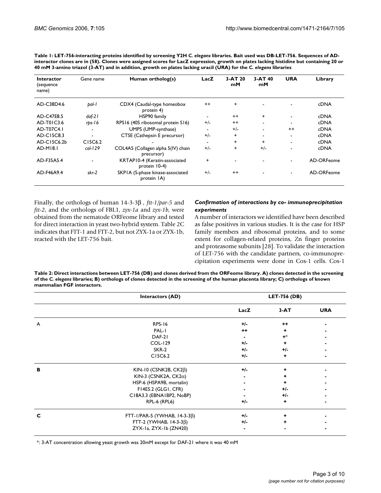| <b>Interactor</b><br>(sequence<br>name) | Gene name  | Human ortholog(s)                                | LacZ    | 3-AT 20<br>mM | $3-AT40$<br>mM | <b>URA</b>               | Library     |
|-----------------------------------------|------------|--------------------------------------------------|---------|---------------|----------------|--------------------------|-------------|
| AD-C38D4.6                              | bal- l     | CDX4 (Caudal-type homeobox<br>protein 4)         | $^{++}$ | $\ddot{}$     |                |                          | <b>cDNA</b> |
| AD-C47E8.5                              | $d$ af-2 l | HSP90 family                                     |         | $++$          | $+$            |                          | <b>cDNA</b> |
| AD-T01C3.6                              | rbs-16     | RPS16 (40S ribosomal protein S16)                | $+/-$   | $++$          |                |                          | <b>cDNA</b> |
| AD-T07C4.1                              |            | UMPS (UMP-synthase)                              |         | $+/-$         |                | $^{++}$                  | cDNA        |
| AD-C15C8.3                              |            | CTSE (Cathepsin E precursor)                     | $+/-$   | +             |                | $\overline{\phantom{0}}$ | <b>cDNA</b> |
| AD-C15C6.2b                             | C15C6.2    |                                                  |         | $\ddot{}$     | $\ddot{}$      |                          | <b>cDNA</b> |
| AD-M18.1                                | $col-129$  | COL4A5 (Collagen alpha 5(IV) chain<br>precursor) | $+/-$   | +             | $+/-$          |                          | <b>cDNA</b> |
| AD-F35A5.4                              |            | KRTAP10-4 (Keratin-associated<br>protein 10-4)   | +       |               |                |                          | AD-ORFeome  |
| AD-F46A9.4                              | skr-2      | SKPIA (S-phase kinase-associated<br>protein IA)  | $+/-$   | $++$          |                |                          | AD-ORFeome  |

Table 1: LET-756-interacting proteins identified by screening Y2H C. elegans libraries. Bait used was DB-LET-756. Sequences of AD**interactor clones are in (58). Clones were assigned scores for LacZ expression, growth on plates lacking histidine but containing 20 or 40 mM 3-amino triazol (3-AT) and in addition, growth on plates lacking uracil (URA) for the** *C. elegans* **libraries**

Finally, the orthologs of human 14-3-3β *, ftt-1/par-5* and *ftt-2*, and the orthologs of FBL1, *zyx-1a* and *zyx-1b*, were obtained from the nematode ORFeome library and tested for direct interaction in yeast two-hybrid system. Table 2C indicates that FTT-1 and FTT-2, but not ZYX-1a or ZYX-1b, reacted with the LET-756 bait.

#### *Confirmation of interactions by co- immunoprecipitation experiments*

A number of interactors we identified have been described as false positives in various studies. It is the case for HSP family members and ribosomal proteins, and to some extent for collagen-related proteins, Zn finger proteins and proteasome subunits [28]. To validate the interaction of LET-756 with the candidate partners, co-immunoprecipitation experiments were done in Cos-1 cells. Cos-1

**Table 2: Direct interactions between LET-756 (DB) and clones derived from the ORFeome library. A) clones detected in the screening of the** *C. elegans* **libraries; B) orthologs of clones detected in the screening of the human placenta library; C) orthologs of known mammalian FGF interactors.**

|   | <b>Interactors (AD)</b>             | <b>LET-756 (DB)</b> |        |            |
|---|-------------------------------------|---------------------|--------|------------|
|   |                                     | LacZ                | $3-AT$ | <b>URA</b> |
| A | <b>RPS-16</b>                       | $+/-$               | $++$   |            |
|   | PAL-I                               | $^{++}$             |        |            |
|   | DAF-21                              |                     | $+^*$  |            |
|   | <b>COL-129</b>                      | $+/-$               |        |            |
|   | SKR-2                               | $+/-$               | $+/-$  |            |
|   | C15C6.2                             | $+/-$               | ٠      |            |
| в | KIN-10 (CSNK2B, $CK2\beta$ )        | $+/-$               |        |            |
|   | KIN-3 (CSNK2A, $CK2\alpha$ )        |                     |        |            |
|   | HSP-6 (HSPA9B, mortalin)            |                     |        |            |
|   | F14E5.2 (GLG1, CFR)                 |                     | $+/-$  |            |
|   | C18A3.3 (EBNA1BP2, NoBP)            |                     | $+/-$  |            |
|   | RPL-6 (RPL6)                        | $+/-$               | ٠      |            |
| С | FTT-I/PAR-5 (YWHAB, $14-3-3\beta$ ) | $+/-$               | ٠      |            |
|   | FTT-2 (YWHAB, $14-3-3\beta$ )       | $+/-$               |        |            |
|   | ZYX-1a, ZYX-1b (ZN420)              |                     |        |            |

\*: 3-AT concentration allowing yeast growth was 20mM except for DAF-21 where it was 40 mM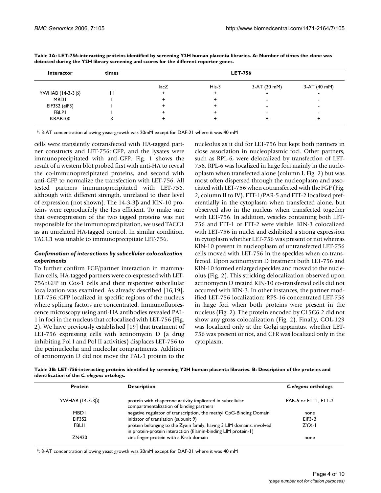| <b>Interactor</b>      | times |      | <b>LET-756</b> |              |              |
|------------------------|-------|------|----------------|--------------|--------------|
|                        |       | lacZ | $His-3$        | 3-AT (20 mM) | 3-AT (40 mM) |
| YWHAB $(14-3-3 \beta)$ |       |      |                |              |              |
| <b>MBDI</b>            |       |      |                |              |              |
| EIF3S2 (eiF3)          |       |      |                |              |              |
| <b>FBLPI</b>           |       |      |                |              |              |
| KRAB100                |       |      |                |              |              |

**Table 3A: LET-756-interacting proteins identified by screening Y2H human placenta libraries. A: Number of times the clone was detected during the Y2H library screening and scores for the different reporter genes.**

\*: 3-AT concentration allowing yeast growth was 20mM except for DAF-21 where it was 40 mM

cells were transiently cotransfected with HA-tagged partner constructs and LET-756::GFP, and the lysates were immunoprecipitated with anti-GFP. Fig. 1 shows the result of a western blot probed first with anti-HA to reveal the co-immunoprecipitated proteins, and second with anti-GFP to normalize the transfection with LET-756. All tested partners immunoprecipitated with LET-756, although with different strength, unrelated to their level of expression (not shown). The 14-3-3β and KIN-10 proteins were reproducibly the less efficient. To make sure that overexpression of the two tagged proteins was not responsible for the immunoprecipitation, we used TACC1 as an unrelated HA-tagged control. In similar condition, TACC1 was unable to immunoprecipitate LET-756.

#### *Confirmation of interactions by subcellular colocalization experiments*

To further confirm FGF/partner interaction in mammalian cells, HA-tagged partners were co-expressed with LET-756::GFP in Cos-1 cells and their respective subcellular localization was examined. As already described [16,19], LET-756::GFP localized in specific regions of the nucleus where splicing factors are concentrated. Immunofluorescence microscopy using anti-HA antibodies revealed PAL-1 in foci in the nucleus that colocalized with LET-756 (Fig. 2). We have previously established [19] that treatment of LET-756 expressing cells with actinomycin D (a drug inhibiting Pol I and Pol II activities) displaces LET-756 to the perinucleolar and nucleolar compartments. Addition of actinomycin D did not move the PAL-1 protein to the nucleolus as it did for LET-756 but kept both partners in close association in nucleoplasmic foci. Other partners, such as RPL-6, were delocalized by transfection of LET-756. RPL-6 was localized in large foci mainly in the nucleoplasm when transfected alone (column I, Fig. 2) but was most often dispersed through the nucleoplasm and associated with LET-756 when cotransfected with the FGF (Fig. 2, column II to IV). FTT-1/PAR-5 and FTT-2 localized preferentially in the cytoplasm when transfected alone, but observed also in the nucleus when transfected together with LET-756. In addition, vesicles containing both LET-756 and FTT-1 or FTT-2 were visible. KIN-3 colocalized with LET-756 in nuclei and exhibited a strong expression in cytoplasm whether LET-756 was present or not whereas KIN-10 present in nucleoplasm of untransfected LET-756 cells moved with LET-756 in the speckles when co-transfected. Upon actinomycin D treatment both LET-756 and KIN-10 formed enlarged speckles and moved to the nucleolus (Fig. 2). This stricking delocalization observed upon actinomycin D treated KIN-10 co-transfected cells did not occurred with KIN-3. In other instances, the partner modified LET-756 localization: RPS-16 concentrated LET-756 in large foci when both proteins were present in the nucleus (Fig. 2). The protein encoded by C15C6.2 did not show any gross colocalization (Fig. 2). Finally, COL-129 was localized only at the Golgi apparatus, whether LET-756 was present or not, and CFR was localized only in the cytoplasm.

**Table 3B: LET-756-interacting proteins identified by screening Y2H human placenta libraries. B: Description of the proteins and identification of the** *C. elegans* **ortologs.**

| <b>Protein</b>        | <b>Description</b>                                                                                                                      | C.elegans orthologs  |
|-----------------------|-----------------------------------------------------------------------------------------------------------------------------------------|----------------------|
| YWHAB $(14-3-3\beta)$ | protein with chaperone activity implicated in subcellular<br>compartmentalization of binding partners                                   | PAR-5 or FTTI, FTT-2 |
| <b>MBDI</b>           | negative regulator of transcription, the methyl CpG-Binding Domain                                                                      | none                 |
| EIF3S2                | initiator of translation (subunit 9)                                                                                                    | EIF3-B               |
| FBLII                 | protein belonging to the Zyxin family, having 3 LIM domains, involved<br>in protein-protein interaction (filamin-binding LIM protein-1) | ZYX-I                |
| ZN420                 | zinc finger protein with a Krab domain                                                                                                  | none                 |

\*: 3-AT concentration allowing yeast growth was 20mM except for DAF-21 where it was 40 mM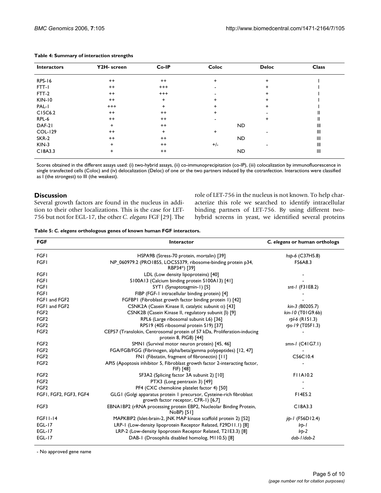| <b>Interactors</b> | Y2H- screen | Co-IP     | Coloc     | <b>Deloc</b> | <b>Class</b>   |
|--------------------|-------------|-----------|-----------|--------------|----------------|
| <b>RPS-16</b>      | $^{++}$     | $^{++}$   | $\ddot{}$ | $\ddot{}$    |                |
| FTT-I              | $^{++}$     | $^{+++}$  |           | ÷            |                |
| FTT-2              | $^{++}$     | $^{+++}$  |           | ÷            |                |
| <b>KIN-10</b>      | $^{++}$     | $\ddot{}$ | ÷         | $\ddot{}$    |                |
| PAL-I              | $^{+++}$    | $\pm$     | $\ddot{}$ | +            |                |
| C15C6.2            | $^{++}$     | $++$      | $\ddot{}$ |              | Ш              |
| RPL-6              | $^{++}$     | $^{++}$   |           | +            | Ш              |
| DAF-21             | $\ddot{}$   | $++$      |           | ND.          | $\mathbf{III}$ |
| <b>COL-129</b>     | $^{++}$     | $\ddot{}$ | $\ddot{}$ |              | $\mathbf{III}$ |
| SKR-2              | $^{++}$     | $++$      |           | ND.          | $\mathbf{III}$ |
| $KIN-3$            | $\ddot{}$   | $++$      | $+/-$     |              | $\mathbf{III}$ |
| C18A3.3            | $\ddot{}$   | $++$      |           | ND.          | $\mathbf{III}$ |

#### **Table 4: Summary of interaction strengths**

Scores obtained in the different assays used: (i) two-hybrid assays, (ii) co-immunoprecipitation (co-IP), (iii) colocalization by immunofluorescence in single transfected cells (Coloc) and (iv) delocalization (Deloc) of one or the two partners induced by the cotranfection. Interactions were classified as I (the strongest) to III (the weakest).

#### **Discussion**

Several growth factors are found in the nucleus in addition to their other localizations. This is the case for LET-756 but not for EGL-17, the other *C. elegans* FGF [29]. The role of LET-756 in the nucleus is not known. To help characterize this role we searched to identify intracellular binding partners of LET-756. By using different twohybrid screens in yeast, we identified several proteins

|  | Table 5: C. elegans orthologous genes of known human FGF interactors. |  |
|--|-----------------------------------------------------------------------|--|
|--|-----------------------------------------------------------------------|--|

| <b>FGF</b>             | Interactor                                                                                                  | C. elegans or human orthologs |
|------------------------|-------------------------------------------------------------------------------------------------------------|-------------------------------|
| <b>FGFI</b>            | HSPA9B (Stress-70 protein, mortalin) [39]                                                                   | hsp-6 (C37H5.8)               |
| <b>FGFI</b>            | NP_060979.2 (PRO1855, LOC55379, ribosome-binding protein p34,<br>RBP34*) [39]                               | F56A8.3                       |
| <b>FGFI</b>            | LDL (Low density lipoproteins) [40]                                                                         |                               |
| <b>FGFI</b>            | S100A13 (Calcium binding protein S100A13) [41]                                                              |                               |
| <b>FGF1</b>            | SYT1 (Synaptotagmin-1) [5]                                                                                  | $snt-l$ (F31E8.2)             |
| <b>FGFI</b>            | FIBP (FGF-1 intracellular binding protein) [4]                                                              |                               |
| FGF1 and FGF2          | FGFBPI (Fibroblast growth factor binding protein 1) [42]                                                    |                               |
| FGF1 and FGF2          | CSNK2A (Casein Kinase II, catalytic subunit $\alpha$ ) [43]                                                 | kin-3 (B0205.7)               |
| FGF <sub>2</sub>       | CSNK2B (Casein Kinase II, regulatory subunit $\beta$ ) [9]                                                  | kin-10 (T01G9.6b)             |
| FGF <sub>2</sub>       | RPL6 (Large ribosomal subunit L6) [36]                                                                      | $rbI-6$ (R151.3)              |
| FGF <sub>2</sub>       | RPS19 (40S ribosomal protein S19) [37]                                                                      | rps-19 (T05F1.3)              |
| FGF <sub>2</sub>       | CEP57 (Translokin, Centrosomal protein of 57 kDa, Proliferation-inducing<br>protein 8, PIG8) [44]           |                               |
| FGF <sub>2</sub>       | SMN1 (Survival motor neuron protein) [45, 46]                                                               | smn-1 (C41G7.1)               |
| FGF <sub>2</sub>       | FGA/FGB/FGG (Fibrinogen, alpha/beta/gamma polypeptides) [12, 47]                                            |                               |
| FGF <sub>2</sub>       | FNI (Fibstatin, fragment of fibronectin) [11]                                                               | C56C10.4                      |
| FGF <sub>2</sub>       | API5 (Apoptosis inhibitor 5, Fibroblast growth factor 2-interacting factor,<br>FIF) [48]                    |                               |
| FGF <sub>2</sub>       | SF3A2 (Splicing factor 3A subunit 2) [10]                                                                   | <b>FIIAI0.2</b>               |
| FGF <sub>2</sub>       | PTX3 (Long pentraxin 3) [49]                                                                                |                               |
| FGF <sub>2</sub>       | PF4 (CXC chemokine platelet factor 4) [50]                                                                  |                               |
| FGFI, FGF2, FGF3, FGF4 | GLGI (Golgi apparatus protein I precursor, Cysteine-rich fibroblast<br>growth factor receptor, CFR-1) [6,7] | F14E5.2                       |
| FGF3                   | EBNAIBP2 (rRNA processing protein EBP2, Nucleolar Binding Protein,<br>NoBP) [51]                            | C18A3.3                       |
| <b>FGF11-14</b>        | MAPK8IP2 (Islet-brain-2, JNK MAP kinase scaffold protein 2) [52]                                            | jip-1 (F56D12.4)              |
| <b>EGL-17</b>          | LRP-1 (Low-density lipoprotein Receptor Related, F29D11.1) [8]                                              | $Irb-1$                       |
| <b>EGL-17</b>          | LRP-2 (Low-density lipoprotein Receptor Related, T21E3.3) [8]                                               | $Irp-2$                       |
| <b>EGL-17</b>          | DAB-1 (Drosophila disabled homolog, M110.5) [8]                                                             | dab-1/dab-2                   |

- No approved gene name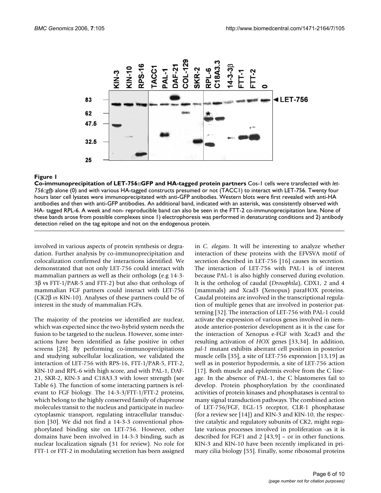

#### Figure 1

**Co-immunoprecipitation of LET-756::GFP and HA-tagged protein partners** Cos-1 cells were transfected with *let-756::gfp* alone (0) and with various HA-tagged constructs presumed or not (TACC1) to interact with LET-756. Twenty four hours later cell lysates were immunoprecipitated with anti-GFP antibodies. Western blots were first revealed with anti-HA antibodies and then with anti-GFP antibodies. An additional band, indicated with an asterisk, was consistently observed with HA- tagged RPL-6. A week and non- reproducible band can also be seen in the FTT-2 co-immunoprecipitation lane. None of these bands arose from possible complexes since 1) electrophoresis was performed in denaturating conditions and 2) antibody detection relied on the tag epitope and not on the endogenous protein.

involved in various aspects of protein synthesis or degradation. Further analysis by co-immunoprecipitation and colocalization confirmed the interactions identified. We demonstrated that not only LET-756 could interact with mammalian partners as well as their orthologs (e.g 14-3- 3β vs FTT-1/PAR-5 and FTT-2) but also that orthologs of mammalian FGF partners could interact with LET-756 (CK2β *vs* KIN-10). Analyses of these partners could be of interest in the study of mammalian FGFs.

The majority of the proteins we identified are nuclear, which was expected since the two-hybrid system needs the fusion to be targeted to the nucleus. However, some interactions have been identified as false positive in other screens [28]. By performing co-immunoprecipitations and studying subcellular localization, we validated the interaction of LET-756 with RPS-16, FTT-1/PAR-5, FTT-2, KIN-10 and RPL-6 with high score, and with PAL-1, DAF-21, SKR-2, KIN-3 and C18A3.3 with lower strength (see Table 6). The function of some interacting partners is relevant to FGF biology. The 14-3-3/FTT-1/FTT-2 proteins, which belong to the highly conserved family of chaperone molecules transit to the nucleus and participate in nucleocytoplasmic transport, regulating intracellular transduction [30]. We did not find a 14-3-3 conventional phosphorylated binding site on LET-756. However, other domains have been involved in 14-3-3 binding, such as nuclear localization signals (31 for review). No role for FTT-1 or FTT-2 in modulating secretion has been assigned

in *C. elegans*. It will be interesting to analyze whether interaction of these proteins with the EFVSVA motif of secretion described in LET-756 [16] causes its secretion. The interaction of LET-756 with PAL-1 is of interest because PAL-1 is also highly conserved during evolution. It is the ortholog of caudal (*Drosophila*), CDX1, 2 and 4 (mammals) and Xcad3 (Xenopus) paraHOX proteins. Caudal proteins are involved in the transcriptional regulation of multiple genes that are involved in posterior patterning [32]. The interaction of LET-756 with PAL-1 could activate the expression of various genes involved in nematode anterior-posterior development as it is the case for the interaction of Xenopus e-FGF with Xcad3 and the resulting activation of *HOX* genes [33,34]. In addition, *pal-1* mutant exhibits aberrant cell position in posterior muscle cells [35], a site of LET-756 expression [13,19] as well as in posterior hypodermis, a site of LET-756 action [17]. Both muscle and epidermis evolve from the C lineage. In the absence of PAL-1, the C blastomeres fail to develop. Protein phosphorylation by the coordinated activities of protein kinases and phosphatases is central to many signal transduction pathways. The combined action of LET-756/FGF, EGL-15 receptor, CLR-1 phosphatase (for a review see [14]) and KIN-3 and KIN-10, the respective catalytic and regulatory subunits of CK2, might regulate various processes involved in proliferation -as it is described for FGF1 and 2 [43,9] – or in other functions. KIN-3 and KIN-10 have been recently implicated in primary cilia biology [55]. Finally, some ribosomal proteins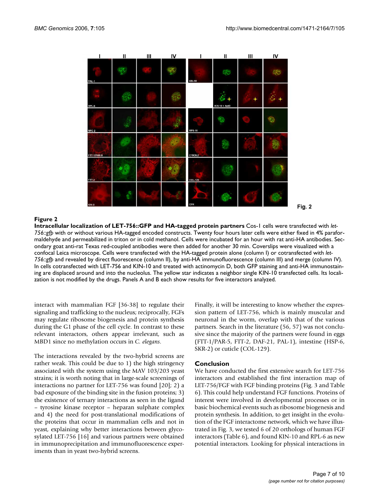

#### Figure 2

**Intracellular localization of LET-756::GFP and HA-tagged protein partners** Cos-1 cells were transfected with *let-756::gfp* with or without various HA-tagged encoded constructs. Twenty four hours later cells were either fixed in 4% paraformaldehyde and permeabilized in triton or in cold methanol. Cells were incubated for an hour with rat anti-HA antibodies. Secondary goat anti-rat Texas red-coupled antibodies were then added for another 30 min. Coverslips were visualized with a confocal Leica microscope. Cells were transfected with the HA-tagged protein alone (column I) or cotransfected with *let-756::gfp* and revealed by direct fluorescence (column II), by anti-HA immunofluorescence (column III) and merge (column IV). In cells cotransfected with LET-756 and KIN-10 and treated with actinomycin D, both GFP staining and anti-HA immunostaining are displaced around and into the nucleolus. The yellow star indicates a neighbor single KIN-10 transfected cells. Its localization is not modified by the drugs. Panels A and B each show results for five interactors analyzed.

interact with mammalian FGF [36-38] to regulate their signaling and trafficking to the nucleus; reciprocally, FGFs may regulate ribosome biogenesis and protein synthesis during the G1 phase of the cell cycle. In contrast to these relevant interactors, others appear irrelevant, such as MBD1 since no methylation occurs in *C. elegans*.

The interactions revealed by the two-hybrid screens are rather weak. This could be due to 1) the high stringency associated with the system using the MAV 103/203 yeast strains; it is worth noting that in large-scale screenings of interactions no partner for LET-756 was found [20]; 2) a bad exposure of the binding site in the fusion proteins; 3) the existence of ternary interactions as seen in the ligand – tyrosine kinase receptor – heparan sulphate complex and 4) the need for post-translational modifications of the proteins that occur in mammalian cells and not in yeast, explaining why better interactions between glycosylated LET-756 [16] and various partners were obtained in immunoprecipitation and immunofluorescence experiments than in yeast two-hybrid screens.

Finally, it will be interesting to know whether the expression pattern of LET-756, which is mainly muscular and neuronal in the worm, overlap with that of the various partners. Search in the literature (56, 57) was not conclusive since the majority of the partners were found in eggs (FTT-1/PAR-5, FTT-2, DAF-21, PAL-1), intestine (HSP-6, SKR-2) or cuticle (COL-129).

#### **Conclusion**

We have conducted the first extensive search for LET-756 interactors and established the first interaction map of LET-756/FGF with FGF binding proteins (Fig. 3 and Table 6). This could help understand FGF functions. Proteins of interest were involved in developmental processes or in basic biochemical events such as ribosome biogenesis and protein synthesis. In addition, to get insight in the evolution of the FGF interactome network, which we have illustrated in Fig. 3, we tested 6 of 20 orthologs of human FGF interactors (Table 6), and found KIN-10 and RPL-6 as new potential interactors. Looking for physical interactions in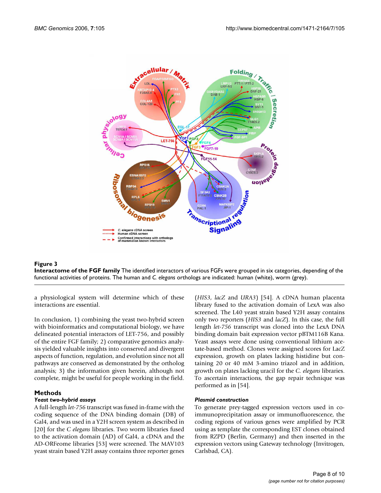

#### **Figure 3 Interactome of the FGF family** The identified interactors of various FGFs were grouped in six categories, depending of the functional activities of proteins. The human and *C. elegans* orthologs are indicated: human (white), worm (grey).

a physiological system will determine which of these interactions are essential.

In conclusion, 1) combining the yeast two-hybrid screen with bioinformatics and computational biology, we have delineated potential interactors of LET-756, and possibly of the entire FGF family; 2) comparative genomics analysis yielded valuable insights into conserved and divergent aspects of function, regulation, and evolution since not all pathways are conserved as demonstrated by the ortholog analysis; 3) the information given herein, although not complete, might be useful for people working in the field.

#### **Methods**

#### *Yeast two-hybrid assays*

A full-length *let-756* transcript was fused in-frame with the coding sequence of the DNA binding domain (DB) of Gal4, and was used in a Y2H screen system as described in [20] for the *C elegans* libraries. Two worm libraries fused to the activation domain (AD) of Gal4, a cDNA and the AD-ORFeome libraries [53] were screened. The MAV103 yeast strain based Y2H assay contains three reporter genes (*HIS3*, *lacZ* and *URA3*) [54]. A cDNA human placenta library fused to the activation domain of LexA was also screened. The L40 yeast strain based Y2H assay contains only two reporters (*HIS3* and *lacZ*). In this case, the full length *let-756* transcript was cloned into the LexA DNA binding domain bait expression vector pBTM116B Kana. Yeast assays were done using conventional lithium acetate-based method. Clones were assigned scores for LacZ expression, growth on plates lacking histidine but containing 20 or 40 mM 3-amino triazol and in addition, growth on plates lacking uracil for the *C. elegans* libraries. To ascertain interactions, the gap repair technique was performed as in [54].

#### *Plasmid construction*

To generate prey-tagged expression vectors used in coimmunoprecipitation assay or immunofluorescence, the coding regions of various genes were amplified by PCR using as template the corresponding EST clones obtained from RZPD (Berlin, Germany) and then inserted in the expression vectors using Gateway technology (Invitrogen, Carlsbad, CA).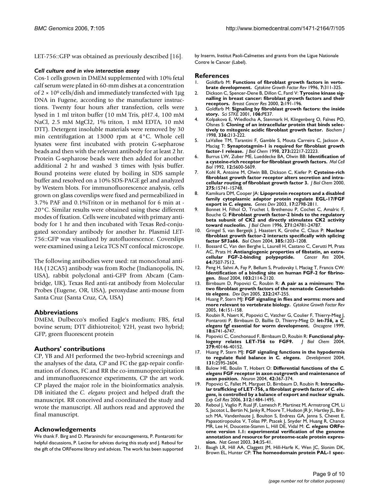LET-756::GFP was obtained as previously described [16].

#### *Cell culture and in vivo interaction assay*

Cos-1 cells grown in DMEM supplemented with 10% fetal calf serum were plated in 60-mm dishes at a concentration of  $2 \times 10^6$  cells/dish and immediately transfected with 1µg DNA in Fugene, according to the manufacturer instructions. Twenty four hours after transfection, cells were lysed in 1 ml triton buffer (10 mM Tris, pH7.4, 100 mM NaCl, 2.5 mM MgCl2, 1% triton, 1 mM EDTA, 10 mM DTT). Detergent insoluble materials were removed by 30 min centrifugation at 13000 rpm at 4°C. Whole cell lysates were first incubated with protein G-sepharose beads and then with the relevant antibody for at least 2 hr. Protein G-sepharose beads were then added for another additional 2 hr and washed 3 times with lysis buffer. Bound proteins were eluted by boiling in SDS sample buffer and resolved on a 10% SDS-PAGE gel and analyzed by Western blots. For immunofluorescence analysis, cells grown on glass coverslips were fixed and permeabilized in 3.7% PAF and 0.1%Triton or in methanol for 6 min at - 20°C. Similar results were obtained using these different modes of fixation. Cells were incubated with primary antibody for 1 hr and then incubated with Texas Red-conjugated secondary antibody for another hr. Plasmid LET-756::GFP was visualized by autofluorescence. Coverslips were examined using a Leica TCS NT confocal microscope.

The following antibodies were used: rat monoclonal anti-HA (12CA5) antibody was from Roche (Indianopolis, IN, USA), rabbit polyclonal anti-GFP from Abcam (Cambridge, UK), Texas Red anti-rat antibody from Molecular Probes (Eugene, OR, USA), peroxydase anti-mouse from Santa Cruz (Santa Cruz, CA, USA)

#### **Abbreviations**

DMEM, Dulbecco's mofied Eagle's medium; FBS, fetal bovine serum; DTT dithiotreitol; Y2H, yeast two hybrid; GFP, green fluorescent protein

#### **Authors' contributions**

CP, YB and AH performed the two-hybrid screenings and the analyses of the data, CP and FC the gap-repair confirmation of clones, FC and RR the co-immunoprecipitation and immunofluorescence experiments, CP the art work. CP played the major role in the bioinformatics analysis. DB initiated the *C. elegans* project and helped draft the manuscript. RR conceived and coordinated the study and wrote the manuscript. All authors read and approved the final manuscript.

#### **Acknowledgements**

We thank F. Birg and D. Maraninchi for encouragements, P. Pontarotti for helpful discussions, P. Lecine for advices during this study and J. Reboul for the gift of the ORFeome library and advices. The work has been supported by Inserm, Institut Paoli-Calmettes and grants from the Ligue Nationale Contre le Cancer (Label).

#### **References**

- 1. Goldfarb M: **[Functions of fibroblast growth factors in verte](http://www.ncbi.nlm.nih.gov/entrez/query.fcgi?cmd=Retrieve&db=PubMed&dopt=Abstract&list_uids=9023055)[brate development.](http://www.ncbi.nlm.nih.gov/entrez/query.fcgi?cmd=Retrieve&db=PubMed&dopt=Abstract&list_uids=9023055)** *Cytokine Growth Factor Rev* 1996, **7:**311-325.
- 2. Dickson C, Spencer-Dene B, Dillon C, Fantl V: **[Tyrosine kinase sig](http://www.ncbi.nlm.nih.gov/entrez/query.fcgi?cmd=Retrieve&db=PubMed&dopt=Abstract&list_uids=11250709)[nalling in breast cancer: fibroblast growth factors and their](http://www.ncbi.nlm.nih.gov/entrez/query.fcgi?cmd=Retrieve&db=PubMed&dopt=Abstract&list_uids=11250709) [receptors.](http://www.ncbi.nlm.nih.gov/entrez/query.fcgi?cmd=Retrieve&db=PubMed&dopt=Abstract&list_uids=11250709)** *Breast Cancer Res* 2000, **2:**191-196.
- 3. Goldfarb M: **Signaling by fibroblast growth factors: the inside story.** *Sci STKE* 2001, **106:**PE37.
- 4. Kolpakova E, Wiedlocha A, Stenmark H, Klingenberg O, Falnes PO, Olsnes S: **[Cloning of an intracellular protein that binds selec](http://www.ncbi.nlm.nih.gov/entrez/query.fcgi?cmd=Retrieve&db=PubMed&dopt=Abstract&list_uids=9806903)[tively to mitogenic acidic fibroblast growth factor.](http://www.ncbi.nlm.nih.gov/entrez/query.fcgi?cmd=Retrieve&db=PubMed&dopt=Abstract&list_uids=9806903)** *Biochem J* 1998, **336:**213-222.
- 5. LaVallee TM, Tarantini F, Gamble S, Mouta Carreira C, Jackson A, Maciag T: **[Synaptotagmin-1 is required for fibroblast growth](http://www.ncbi.nlm.nih.gov/entrez/query.fcgi?cmd=Retrieve&db=PubMed&dopt=Abstract&list_uids=9712835) [factor-1 release.](http://www.ncbi.nlm.nih.gov/entrez/query.fcgi?cmd=Retrieve&db=PubMed&dopt=Abstract&list_uids=9712835)** *J Biol Chem* 1998, **273:**22217-22223.
- 6. Burrus LW, Zuber ME, Lueddecke BA, Olwin BB: **[Identification of](http://www.ncbi.nlm.nih.gov/entrez/query.fcgi?cmd=Retrieve&db=PubMed&dopt=Abstract&list_uids=1448090) [a cysteine-rich receptor for fibroblast growth factors.](http://www.ncbi.nlm.nih.gov/entrez/query.fcgi?cmd=Retrieve&db=PubMed&dopt=Abstract&list_uids=1448090)** *Mol Cell Biol* 1992, **12:**5600-5609.
- 7. Kohl R, Antoine M, Olwin BB, Dickson C, Kiefer P: **[Cysteine-rich](http://www.ncbi.nlm.nih.gov/entrez/query.fcgi?cmd=Retrieve&db=PubMed&dopt=Abstract&list_uids=10748074) [fibroblast growth factor receptor alters secretion and intra](http://www.ncbi.nlm.nih.gov/entrez/query.fcgi?cmd=Retrieve&db=PubMed&dopt=Abstract&list_uids=10748074)[cellular routing of fibroblast growth factor 3.](http://www.ncbi.nlm.nih.gov/entrez/query.fcgi?cmd=Retrieve&db=PubMed&dopt=Abstract&list_uids=10748074)** *J Biol Chem* 2000, **275:**15741-15748.
- 8. Kamikura DM, Cooper JA: **Lipoprotein receptors and a disabled family cytoplasmic adaptor protein regulate EGL-17/FGF export in** *C. elegans***[.](http://www.ncbi.nlm.nih.gov/entrez/query.fcgi?cmd=Retrieve&db=PubMed&dopt=Abstract&list_uids=14630941)** *Genes Dev* 2003, **17:**2798-2811.
- 9. Bonnet H, Filhol O, Truchet I, Brethenou P, Cochet C, Amalric F, Bouche G: **[Fibroblast growth factor-2 binds to the regulatory](http://www.ncbi.nlm.nih.gov/entrez/query.fcgi?cmd=Retrieve&db=PubMed&dopt=Abstract&list_uids=8798749) [beta subunit of CK2 and directly stimulates CK2 activity](http://www.ncbi.nlm.nih.gov/entrez/query.fcgi?cmd=Retrieve&db=PubMed&dopt=Abstract&list_uids=8798749) [toward nucleolin.](http://www.ncbi.nlm.nih.gov/entrez/query.fcgi?cmd=Retrieve&db=PubMed&dopt=Abstract&list_uids=8798749)** *J Biol Chem* 1996, **271:**24781-24787.
- 10. Gringel S, van Bergeijk J, Haastert K, Grothe C, Claus P: **[Nuclear](http://www.ncbi.nlm.nih.gov/entrez/query.fcgi?cmd=Retrieve&db=PubMed&dopt=Abstract&list_uids=15653435) [fibroblast growth factor-2 interacts specifically with splicing](http://www.ncbi.nlm.nih.gov/entrez/query.fcgi?cmd=Retrieve&db=PubMed&dopt=Abstract&list_uids=15653435) [factor SF3a66.](http://www.ncbi.nlm.nih.gov/entrez/query.fcgi?cmd=Retrieve&db=PubMed&dopt=Abstract&list_uids=15653435)** *Biol Chem* 2004, **385:**1203-1208.
- 11. Bossard C, Van den Berghe L, Laurell H, Castano C, Cerutti M, Prats AC, Prats H: **[Antiangiogenic properties of fibstatin, an extra](http://www.ncbi.nlm.nih.gov/entrez/query.fcgi?cmd=Retrieve&db=PubMed&dopt=Abstract&list_uids=15492277)[cellular FGF-2-binding polypeptide.](http://www.ncbi.nlm.nih.gov/entrez/query.fcgi?cmd=Retrieve&db=PubMed&dopt=Abstract&list_uids=15492277)** *Cancer Res* 2004, **64:**7507-7512.
- 12. Peng H, Sahni A, Fay P, Bellum S, Prudovsky I, Maciag T, Francis CW: **[Identification of a binding site on human FGF-2 for fibrino](http://www.ncbi.nlm.nih.gov/entrez/query.fcgi?cmd=Retrieve&db=PubMed&dopt=Abstract&list_uids=14630795)[gen.](http://www.ncbi.nlm.nih.gov/entrez/query.fcgi?cmd=Retrieve&db=PubMed&dopt=Abstract&list_uids=14630795)** *Blood* 2004, **103:**2114-2120.
- 13. Birnbaum D, Popovici C, Roubin R: **A pair as a minimum: The two fibroblast growth factors of the nematode** *Caenorhabditis elegans***[.](http://www.ncbi.nlm.nih.gov/entrez/query.fcgi?cmd=Retrieve&db=PubMed&dopt=Abstract&list_uids=15614779)** *Dev Dyn* 2005, **232:**247-255.
- 14. Huang P, Stern MJ: **[FGF signaling in flies and worms: more and](http://www.ncbi.nlm.nih.gov/entrez/query.fcgi?cmd=Retrieve&db=PubMed&dopt=Abstract&list_uids=15863031) [more relevant to vertebrate biology.](http://www.ncbi.nlm.nih.gov/entrez/query.fcgi?cmd=Retrieve&db=PubMed&dopt=Abstract&list_uids=15863031)** *Cytokine Growth Factor Rev* 2005, **16:**151-158.
- Roubin R, Naert K, Popovici C, Vatcher G, Coulier F, Thierry-Mieg J, Pontarotti P, Birnbaum D, Baillie D, Thierry-Mieg D: *let-756***, a** *C. elegans* **[fgf essential for worm development.](http://www.ncbi.nlm.nih.gov/entrez/query.fcgi?cmd=Retrieve&db=PubMed&dopt=Abstract&list_uids=10597282)** *Oncogene* 1999, **18:**6741-6747.
- 16. Popovici C, Conchonaud F, Birnbaum D, Roubin R: **Functional phy-**<br>logeny relates LET-756 to FGF9. *J Biol Chem* 2004, [logeny relates LET-756 to FGF9.](http://www.ncbi.nlm.nih.gov/entrez/query.fcgi?cmd=Retrieve&db=PubMed&dopt=Abstract&list_uids=15199049) **279:**40146-40152.
- 17. Huang P, Stern MJ: **FGF signaling functions in the hypodermis to regulate fluid balance in** *C. elegans***[.](http://www.ncbi.nlm.nih.gov/entrez/query.fcgi?cmd=Retrieve&db=PubMed&dopt=Abstract&list_uids=15115754)** *Development* 2004, **131:**2595-2604.
- 18. Bulow HE, Boulin T, Hobert O: **Differential functions of the** *C. elegans* **[FGF receptor in axon outgrowth and maintenance of](http://www.ncbi.nlm.nih.gov/entrez/query.fcgi?cmd=Retrieve&db=PubMed&dopt=Abstract&list_uids=15134634) [axon position.](http://www.ncbi.nlm.nih.gov/entrez/query.fcgi?cmd=Retrieve&db=PubMed&dopt=Abstract&list_uids=15134634)** *Neuron* 2004, **42:**367-374.
- 19. Popovici C, Fallet M, Marguet D, Birnbaum D, Roubin R: **Intracellular trafficking of LET-756, a fibroblast growth factor of** *C. elegans***[, is controlled by a balance of export and nuclear signals.](http://www.ncbi.nlm.nih.gov/entrez/query.fcgi?cmd=Retrieve&db=PubMed&dopt=Abstract&list_uids=16487967)** *Exp Cell Res* 2006, **312:**1484-1495.
- 20. Reboul J, Vaglio P, Rual JF, Lamesch P, Martinez M, Armstrong CM, Li S, Jacotot L, Bertin N, Janky R, Moore T, Hudson JR Jr, Hartley JL, Brasch MA, Vandenhaute J, Boulton S, Endress GA, Jenna S, Chevet E, Papasotiropoulos V, Tolias PP, Ptacek J, Snyder M, Huang R, Chance MR, Lee H, Doucette-Stamm L, Hill DE, Vidal M: *C. elegans* **[ORFe](http://www.ncbi.nlm.nih.gov/entrez/query.fcgi?cmd=Retrieve&db=PubMed&dopt=Abstract&list_uids=12679813)[ome version 1.1: experimental verification of the genome](http://www.ncbi.nlm.nih.gov/entrez/query.fcgi?cmd=Retrieve&db=PubMed&dopt=Abstract&list_uids=12679813) annotation and resource for proteome-scale protein expres[sion.](http://www.ncbi.nlm.nih.gov/entrez/query.fcgi?cmd=Retrieve&db=PubMed&dopt=Abstract&list_uids=12679813)** *Nat Genet* 2003, **34:**35-41.
- 21. Baugh LR, Hill AA, Claggett JM, Hill-Harfe K, Wen JC, Slonim DK, Brown EL, Hunter CP: **The homeodomain protein PAL-1 spec-**